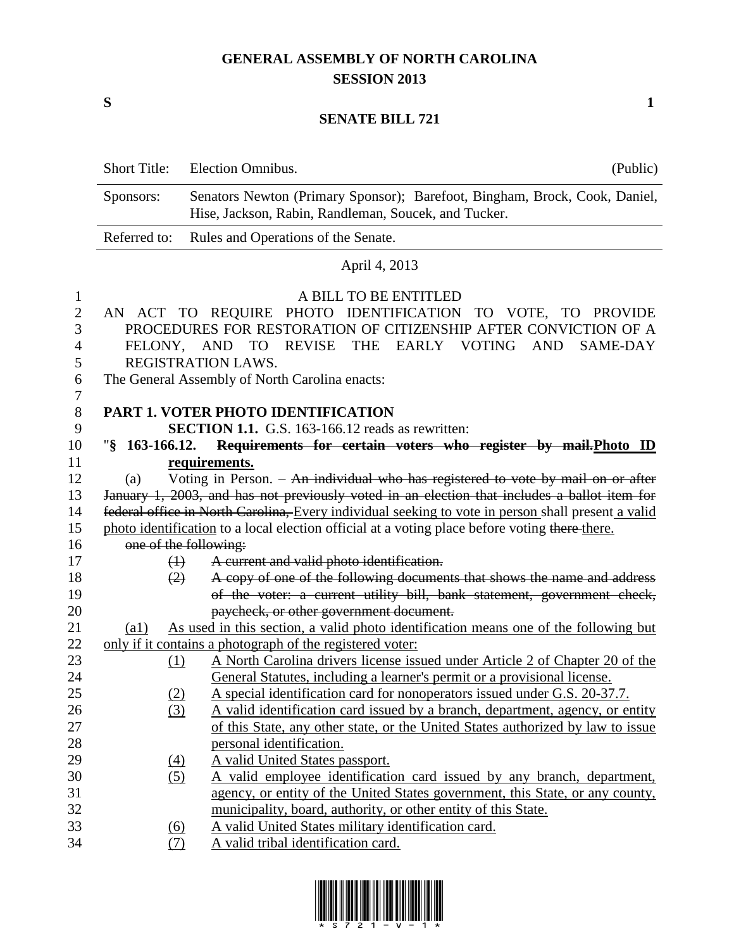## **GENERAL ASSEMBLY OF NORTH CAROLINA SESSION 2013**

**S 1**

## **SENATE BILL 721**

|                                                                   | Short Title:                                                                                                                                                                                                                                                                                        | Election Omnibus.<br>(Public)                                                                                                                                                                        |  |
|-------------------------------------------------------------------|-----------------------------------------------------------------------------------------------------------------------------------------------------------------------------------------------------------------------------------------------------------------------------------------------------|------------------------------------------------------------------------------------------------------------------------------------------------------------------------------------------------------|--|
| Sponsors:<br>Hise, Jackson, Rabin, Randleman, Soucek, and Tucker. |                                                                                                                                                                                                                                                                                                     | Senators Newton (Primary Sponsor); Barefoot, Bingham, Brock, Cook, Daniel,                                                                                                                           |  |
|                                                                   | Referred to:                                                                                                                                                                                                                                                                                        | Rules and Operations of the Senate.                                                                                                                                                                  |  |
|                                                                   |                                                                                                                                                                                                                                                                                                     | April 4, 2013                                                                                                                                                                                        |  |
| 1                                                                 |                                                                                                                                                                                                                                                                                                     | A BILL TO BE ENTITLED                                                                                                                                                                                |  |
| 2<br>3<br>4<br>5<br>6                                             | AN ACT TO REQUIRE PHOTO IDENTIFICATION TO VOTE, TO PROVIDE<br>PROCEDURES FOR RESTORATION OF CITIZENSHIP AFTER CONVICTION OF A<br>FELONY, AND<br>REVISE<br><b>THE</b><br>EARLY VOTING<br><b>AND</b><br><b>SAME-DAY</b><br>TO<br>REGISTRATION LAWS.<br>The General Assembly of North Carolina enacts: |                                                                                                                                                                                                      |  |
| 7                                                                 |                                                                                                                                                                                                                                                                                                     |                                                                                                                                                                                                      |  |
| 8<br>9                                                            |                                                                                                                                                                                                                                                                                                     | <b>PART 1. VOTER PHOTO IDENTIFICATION</b><br>SECTION 1.1. G.S. 163-166.12 reads as rewritten:                                                                                                        |  |
| 10                                                                | $\frac{1}{2}$ 163-166.12.                                                                                                                                                                                                                                                                           | Requirements for certain voters who register by mail. Photo ID                                                                                                                                       |  |
| 11                                                                |                                                                                                                                                                                                                                                                                                     | requirements.                                                                                                                                                                                        |  |
| 12                                                                | (a)                                                                                                                                                                                                                                                                                                 | Voting in Person. - An individual who has registered to vote by mail on or after                                                                                                                     |  |
| 13                                                                |                                                                                                                                                                                                                                                                                                     | January 1, 2003, and has not previously voted in an election that includes a ballot item for                                                                                                         |  |
| 14<br>15                                                          |                                                                                                                                                                                                                                                                                                     | federal office in North Carolina, Every individual seeking to vote in person shall present a valid<br>photo identification to a local election official at a voting place before voting there there. |  |
| 16                                                                |                                                                                                                                                                                                                                                                                                     | one of the following:                                                                                                                                                                                |  |
| 17                                                                | $\leftrightarrow$                                                                                                                                                                                                                                                                                   | A current and valid photo identification.                                                                                                                                                            |  |
| 18<br>19<br>20                                                    | (2)                                                                                                                                                                                                                                                                                                 | A copy of one of the following documents that shows the name and address<br>of the voter: a current utility bill, bank statement, government check,<br>paycheck, or other government document.       |  |
| 21                                                                | (al)                                                                                                                                                                                                                                                                                                | As used in this section, a valid photo identification means one of the following but                                                                                                                 |  |
| 22                                                                |                                                                                                                                                                                                                                                                                                     | only if it contains a photograph of the registered voter:                                                                                                                                            |  |
| 23                                                                | (1)                                                                                                                                                                                                                                                                                                 | A North Carolina drivers license issued under Article 2 of Chapter 20 of the                                                                                                                         |  |
| 24                                                                |                                                                                                                                                                                                                                                                                                     | General Statutes, including a learner's permit or a provisional license.                                                                                                                             |  |
| 25                                                                | <u>(2)</u>                                                                                                                                                                                                                                                                                          | A special identification card for nonoperators issued under G.S. 20-37.7.                                                                                                                            |  |
| 26                                                                | (3)                                                                                                                                                                                                                                                                                                 | A valid identification card issued by a branch, department, agency, or entity                                                                                                                        |  |
| 27                                                                |                                                                                                                                                                                                                                                                                                     | of this State, any other state, or the United States authorized by law to issue                                                                                                                      |  |
| 28                                                                |                                                                                                                                                                                                                                                                                                     | personal identification.                                                                                                                                                                             |  |
| 29                                                                | $\left(4\right)$                                                                                                                                                                                                                                                                                    | A valid United States passport.                                                                                                                                                                      |  |
| 30                                                                | (5)                                                                                                                                                                                                                                                                                                 | A valid employee identification card issued by any branch, department,                                                                                                                               |  |
| 31                                                                |                                                                                                                                                                                                                                                                                                     | agency, or entity of the United States government, this State, or any county,                                                                                                                        |  |
| 32                                                                |                                                                                                                                                                                                                                                                                                     | municipality, board, authority, or other entity of this State.                                                                                                                                       |  |
| 33                                                                | A valid United States military identification card.<br><u>(6)</u>                                                                                                                                                                                                                                   |                                                                                                                                                                                                      |  |
| 34                                                                | (7)                                                                                                                                                                                                                                                                                                 | A valid tribal identification card.                                                                                                                                                                  |  |

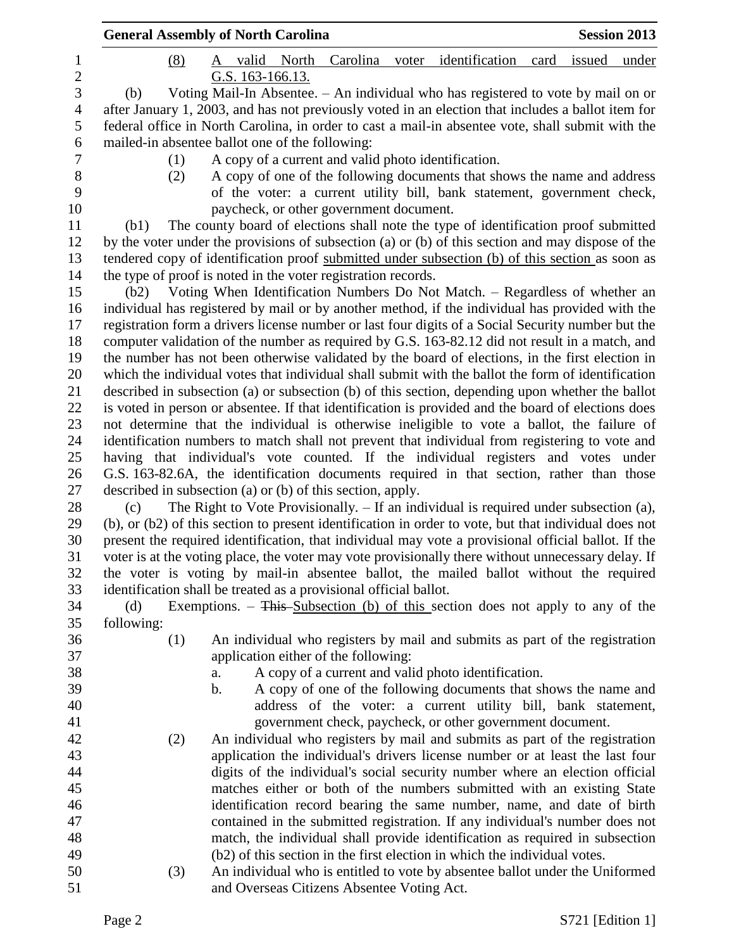|                |                   | <b>General Assembly of North Carolina</b>                     |                                                                                                       | <b>Session 2013</b> |
|----------------|-------------------|---------------------------------------------------------------|-------------------------------------------------------------------------------------------------------|---------------------|
| 1              | (8)               | A                                                             | valid North Carolina voter identification<br>issued<br>card                                           | under               |
| $\overline{c}$ |                   | G.S. 163-166.13.                                              |                                                                                                       |                     |
| 3              | (b)               |                                                               | Voting Mail-In Absentee. - An individual who has registered to vote by mail on or                     |                     |
| $\overline{4}$ |                   |                                                               | after January 1, 2003, and has not previously voted in an election that includes a ballot item for    |                     |
| 5              |                   |                                                               | federal office in North Carolina, in order to cast a mail-in absentee vote, shall submit with the     |                     |
| 6              |                   | mailed-in absentee ballot one of the following:               |                                                                                                       |                     |
| $\tau$         | (1)               |                                                               | A copy of a current and valid photo identification.                                                   |                     |
| $8\,$          | (2)               |                                                               | A copy of one of the following documents that shows the name and address                              |                     |
| 9              |                   |                                                               | of the voter: a current utility bill, bank statement, government check,                               |                     |
| 10             |                   |                                                               | paycheck, or other government document.                                                               |                     |
| 11             | (b1)              |                                                               | The county board of elections shall note the type of identification proof submitted                   |                     |
| 12             |                   |                                                               | by the voter under the provisions of subsection (a) or (b) of this section and may dispose of the     |                     |
| 13             |                   |                                                               | tendered copy of identification proof submitted under subsection (b) of this section as soon as       |                     |
| 14             |                   | the type of proof is noted in the voter registration records. |                                                                                                       |                     |
| 15             | (b2)              |                                                               | Voting When Identification Numbers Do Not Match. - Regardless of whether an                           |                     |
| 16             |                   |                                                               | individual has registered by mail or by another method, if the individual has provided with the       |                     |
| 17             |                   |                                                               | registration form a drivers license number or last four digits of a Social Security number but the    |                     |
| 18             |                   |                                                               | computer validation of the number as required by G.S. 163-82.12 did not result in a match, and        |                     |
| 19             |                   |                                                               | the number has not been otherwise validated by the board of elections, in the first election in       |                     |
| 20             |                   |                                                               | which the individual votes that individual shall submit with the ballot the form of identification    |                     |
| 21             |                   |                                                               | described in subsection (a) or subsection (b) of this section, depending upon whether the ballot      |                     |
| 22             |                   |                                                               | is voted in person or absentee. If that identification is provided and the board of elections does    |                     |
| 23             |                   |                                                               | not determine that the individual is otherwise ineligible to vote a ballot, the failure of            |                     |
| 24             |                   |                                                               | identification numbers to match shall not prevent that individual from registering to vote and        |                     |
| 25             |                   |                                                               | having that individual's vote counted. If the individual registers and votes under                    |                     |
| 26             |                   |                                                               | G.S. 163-82.6A, the identification documents required in that section, rather than those              |                     |
| 27             |                   | described in subsection (a) or (b) of this section, apply.    |                                                                                                       |                     |
| 28             | (c)               |                                                               | The Right to Vote Provisionally. $-$ If an individual is required under subsection (a),               |                     |
| 29<br>30       |                   |                                                               | (b), or (b2) of this section to present identification in order to vote, but that individual does not |                     |
| 31             |                   |                                                               | present the required identification, that individual may vote a provisional official ballot. If the   |                     |
|                |                   |                                                               | voter is at the voting place, the voter may vote provisionally there without unnecessary delay. If    |                     |
| 32             |                   |                                                               | the voter is voting by mail-in absentee ballot, the mailed ballot without the required                |                     |
| 33<br>34       |                   |                                                               | identification shall be treated as a provisional official ballot.                                     |                     |
| 35             | (d)<br>following: |                                                               | Exemptions. $-$ This Subsection (b) of this section does not apply to any of the                      |                     |
| 36             | (1)               |                                                               | An individual who registers by mail and submits as part of the registration                           |                     |
| 37             |                   | application either of the following:                          |                                                                                                       |                     |
| 38             |                   | a.                                                            | A copy of a current and valid photo identification.                                                   |                     |
| 39             |                   | b.                                                            | A copy of one of the following documents that shows the name and                                      |                     |
| 40             |                   |                                                               | address of the voter: a current utility bill, bank statement,                                         |                     |
| 41             |                   |                                                               | government check, paycheck, or other government document.                                             |                     |
| 42             | (2)               |                                                               | An individual who registers by mail and submits as part of the registration                           |                     |
| 43             |                   |                                                               | application the individual's drivers license number or at least the last four                         |                     |
| 44             |                   |                                                               | digits of the individual's social security number where an election official                          |                     |
| 45             |                   |                                                               | matches either or both of the numbers submitted with an existing State                                |                     |
| 46             |                   |                                                               | identification record bearing the same number, name, and date of birth                                |                     |
| 47             |                   |                                                               | contained in the submitted registration. If any individual's number does not                          |                     |
| 48             |                   |                                                               | match, the individual shall provide identification as required in subsection                          |                     |
| 49             |                   |                                                               | (b2) of this section in the first election in which the individual votes.                             |                     |
| 50             | (3)               |                                                               | An individual who is entitled to vote by absentee ballot under the Uniformed                          |                     |
| 51             |                   |                                                               | and Overseas Citizens Absentee Voting Act.                                                            |                     |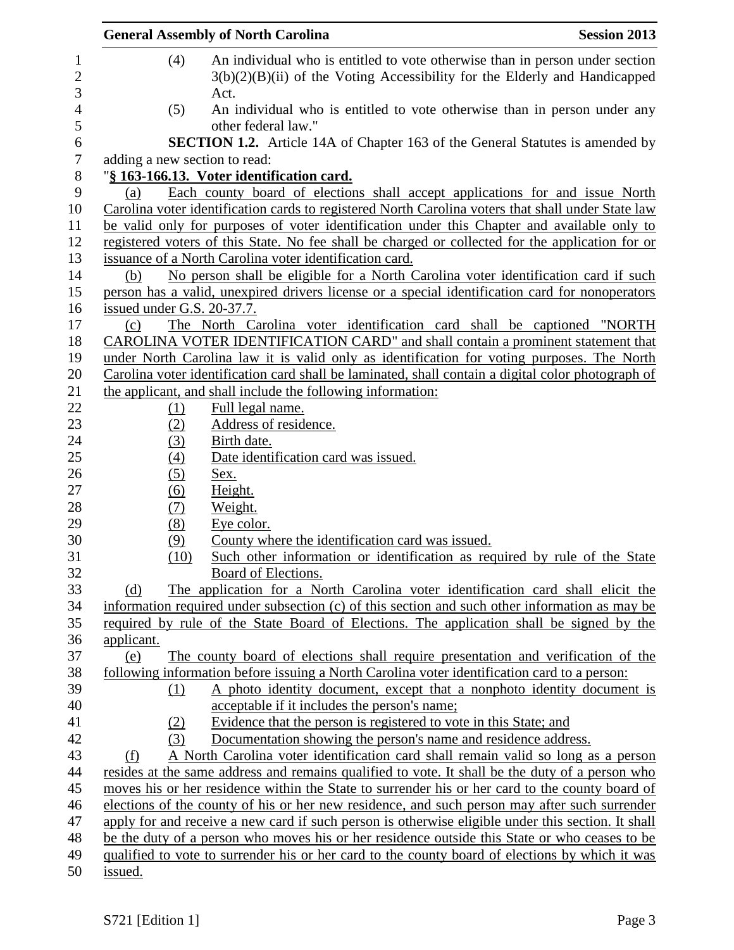|                  | <b>General Assembly of North Carolina</b>                                                                                                                            | <b>Session 2013</b> |
|------------------|----------------------------------------------------------------------------------------------------------------------------------------------------------------------|---------------------|
| (4)              | An individual who is entitled to vote otherwise than in person under section<br>$3(b)(2)(B)(ii)$ of the Voting Accessibility for the Elderly and Handicapped<br>Act. |                     |
| (5)              | An individual who is entitled to vote otherwise than in person under any<br>other federal law."                                                                      |                     |
|                  | <b>SECTION 1.2.</b> Article 14A of Chapter 163 of the General Statutes is amended by                                                                                 |                     |
|                  | adding a new section to read:                                                                                                                                        |                     |
|                  | "§ 163-166.13. Voter identification card.                                                                                                                            |                     |
| (a)              | Each county board of elections shall accept applications for and issue North                                                                                         |                     |
|                  | Carolina voter identification cards to registered North Carolina voters that shall under State law                                                                   |                     |
|                  | be valid only for purposes of voter identification under this Chapter and available only to                                                                          |                     |
|                  | registered voters of this State. No fee shall be charged or collected for the application for or                                                                     |                     |
|                  | issuance of a North Carolina voter identification card.                                                                                                              |                     |
| (b)              | No person shall be eligible for a North Carolina voter identification card if such                                                                                   |                     |
|                  | person has a valid, unexpired drivers license or a special identification card for nonoperators                                                                      |                     |
|                  | issued under G.S. 20-37.7.                                                                                                                                           |                     |
| (c)              | The North Carolina voter identification card shall be captioned "NORTH                                                                                               |                     |
|                  | CAROLINA VOTER IDENTIFICATION CARD" and shall contain a prominent statement that                                                                                     |                     |
|                  | under North Carolina law it is valid only as identification for voting purposes. The North                                                                           |                     |
|                  | Carolina voter identification card shall be laminated, shall contain a digital color photograph of                                                                   |                     |
|                  | the applicant, and shall include the following information:                                                                                                          |                     |
| (1)              | Full legal name.                                                                                                                                                     |                     |
| (2)              | Address of residence.                                                                                                                                                |                     |
| (3)              | Birth date.                                                                                                                                                          |                     |
| $\left(4\right)$ | Date identification card was issued.                                                                                                                                 |                     |
| (5)              | Sex.                                                                                                                                                                 |                     |
| (6)              | Height.                                                                                                                                                              |                     |
| (7)              | Weight.                                                                                                                                                              |                     |
| (8)              | Eye color.                                                                                                                                                           |                     |
| (9)              | County where the identification card was issued.                                                                                                                     |                     |
|                  | (10)<br>Such other information or identification as required by rule of the State                                                                                    |                     |
|                  | Board of Elections.                                                                                                                                                  |                     |
| (d)              | The application for a North Carolina voter identification card shall elicit the                                                                                      |                     |
|                  | information required under subsection (c) of this section and such other information as may be                                                                       |                     |
|                  | required by rule of the State Board of Elections. The application shall be signed by the                                                                             |                     |
| applicant.       |                                                                                                                                                                      |                     |
| (e)              | The county board of elections shall require presentation and verification of the                                                                                     |                     |
|                  | following information before issuing a North Carolina voter identification card to a person:                                                                         |                     |
| (1)              | A photo identity document, except that a nonphoto identity document is                                                                                               |                     |
|                  | acceptable if it includes the person's name;                                                                                                                         |                     |
| (2)              | Evidence that the person is registered to vote in this State; and                                                                                                    |                     |
| (3)              | Documentation showing the person's name and residence address.                                                                                                       |                     |
| (f)              | A North Carolina voter identification card shall remain valid so long as a person                                                                                    |                     |
|                  | resides at the same address and remains qualified to vote. It shall be the duty of a person who                                                                      |                     |
|                  | moves his or her residence within the State to surrender his or her card to the county board of                                                                      |                     |
|                  | elections of the county of his or her new residence, and such person may after such surrender                                                                        |                     |
|                  | apply for and receive a new card if such person is otherwise eligible under this section. It shall                                                                   |                     |
|                  | be the duty of a person who moves his or her residence outside this State or who ceases to be                                                                        |                     |
|                  | qualified to vote to surrender his or her card to the county board of elections by which it was                                                                      |                     |
| issued.          |                                                                                                                                                                      |                     |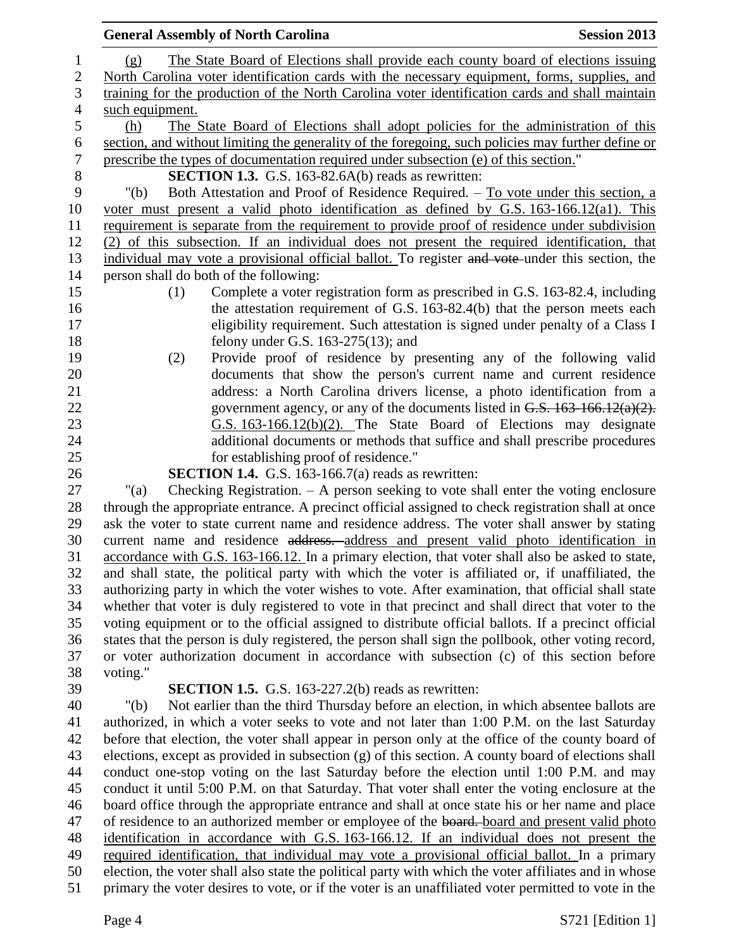| 1              | The State Board of Elections shall provide each county board of elections issuing<br>(g)              |  |  |  |
|----------------|-------------------------------------------------------------------------------------------------------|--|--|--|
| $\mathbf{2}$   | North Carolina voter identification cards with the necessary equipment, forms, supplies, and          |  |  |  |
| 3              | training for the production of the North Carolina voter identification cards and shall maintain       |  |  |  |
| $\overline{4}$ | such equipment.                                                                                       |  |  |  |
| $\sqrt{5}$     | The State Board of Elections shall adopt policies for the administration of this<br>(h)               |  |  |  |
| 6              | section, and without limiting the generality of the foregoing, such policies may further define or    |  |  |  |
| $\overline{7}$ | prescribe the types of documentation required under subsection (e) of this section."                  |  |  |  |
| $8\,$          | <b>SECTION 1.3.</b> G.S. 163-82.6A(b) reads as rewritten:                                             |  |  |  |
| 9              | Both Attestation and Proof of Residence Required. – To vote under this section, a<br>" $(b)$          |  |  |  |
| 10             | voter must present a valid photo identification as defined by G.S. $163-166.12(a1)$ . This            |  |  |  |
| 11             | requirement is separate from the requirement to provide proof of residence under subdivision          |  |  |  |
| 12             | (2) of this subsection. If an individual does not present the required identification, that           |  |  |  |
| 13             | individual may vote a provisional official ballot. To register and vote under this section, the       |  |  |  |
| 14             | person shall do both of the following:                                                                |  |  |  |
| 15             | Complete a voter registration form as prescribed in G.S. 163-82.4, including<br>(1)                   |  |  |  |
| 16             | the attestation requirement of G.S. 163-82.4(b) that the person meets each                            |  |  |  |
| 17             | eligibility requirement. Such attestation is signed under penalty of a Class I                        |  |  |  |
| 18             | felony under G.S. $163-275(13)$ ; and                                                                 |  |  |  |
| 19             | Provide proof of residence by presenting any of the following valid<br>(2)                            |  |  |  |
| 20             | documents that show the person's current name and current residence                                   |  |  |  |
| 21             | address: a North Carolina drivers license, a photo identification from a                              |  |  |  |
| 22             | government agency, or any of the documents listed in $G.S. 163-166.12(a)(2)$ .                        |  |  |  |
| 23             | G.S. 163-166.12(b)(2). The State Board of Elections may designate                                     |  |  |  |
| 24             | additional documents or methods that suffice and shall prescribe procedures                           |  |  |  |
| 25             | for establishing proof of residence."                                                                 |  |  |  |
| 26             | <b>SECTION 1.4.</b> G.S. 163-166.7(a) reads as rewritten:                                             |  |  |  |
| 27             | Checking Registration. $- A$ person seeking to vote shall enter the voting enclosure<br>" $(a)$       |  |  |  |
| 28             | through the appropriate entrance. A precinct official assigned to check registration shall at once    |  |  |  |
| 29             | ask the voter to state current name and residence address. The voter shall answer by stating          |  |  |  |
| 30             | current name and residence address. address and present valid photo identification in                 |  |  |  |
| 31             | accordance with G.S. 163-166.12. In a primary election, that voter shall also be asked to state,      |  |  |  |
| 32             | and shall state, the political party with which the voter is affiliated or, if unaffiliated, the      |  |  |  |
| 33             | authorizing party in which the voter wishes to vote. After examination, that official shall state     |  |  |  |
| 34             | whether that voter is duly registered to vote in that precinct and shall direct that voter to the     |  |  |  |
| 35<br>36       | voting equipment or to the official assigned to distribute official ballots. If a precinct official   |  |  |  |
|                | states that the person is duly registered, the person shall sign the pollbook, other voting record,   |  |  |  |
| 37             | or voter authorization document in accordance with subsection (c) of this section before              |  |  |  |
| 38<br>39       | voting."<br><b>SECTION 1.5.</b> G.S. 163-227.2(b) reads as rewritten:                                 |  |  |  |
| 40             | Not earlier than the third Thursday before an election, in which absentee ballots are<br>" $(b)$      |  |  |  |
| 41             | authorized, in which a voter seeks to vote and not later than 1:00 P.M. on the last Saturday          |  |  |  |
| 42             | before that election, the voter shall appear in person only at the office of the county board of      |  |  |  |
| 43             | elections, except as provided in subsection (g) of this section. A county board of elections shall    |  |  |  |
| 44             | conduct one-stop voting on the last Saturday before the election until 1:00 P.M. and may              |  |  |  |
| 45             | conduct it until 5:00 P.M. on that Saturday. That voter shall enter the voting enclosure at the       |  |  |  |
| 46             | board office through the appropriate entrance and shall at once state his or her name and place       |  |  |  |
| 47             | of residence to an authorized member or employee of the board. board and present valid photo          |  |  |  |
| 48             | identification in accordance with G.S. 163-166.12. If an individual does not present the              |  |  |  |
| 49             | required identification, that individual may vote a provisional official ballot. In a primary         |  |  |  |
| 50             | election, the voter shall also state the political party with which the voter affiliates and in whose |  |  |  |
| 51             | primary the voter desires to vote, or if the voter is an unaffiliated voter permitted to vote in the  |  |  |  |
|                |                                                                                                       |  |  |  |
|                | Page 4<br>S721 [Edition 1]                                                                            |  |  |  |

**General Assembly of North Carolina Session 2013**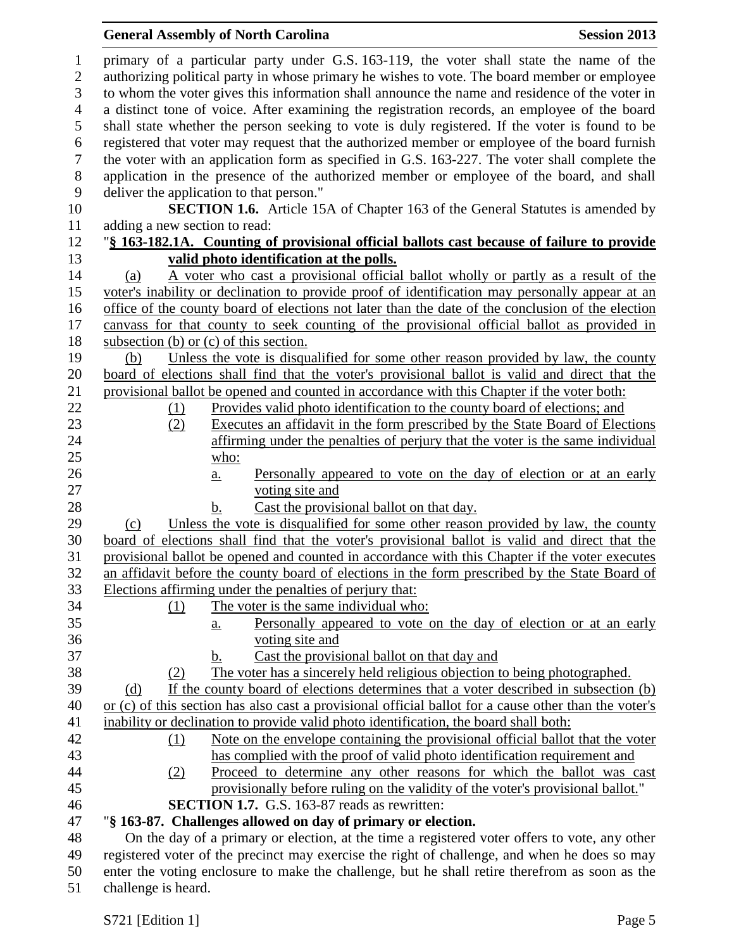## **General Assembly of North Carolina Session 2013**

| 1<br>$\overline{2}$<br>3 | primary of a particular party under G.S. 163-119, the voter shall state the name of the<br>authorizing political party in whose primary he wishes to vote. The board member or employee<br>to whom the voter gives this information shall announce the name and residence of the voter in |
|--------------------------|-------------------------------------------------------------------------------------------------------------------------------------------------------------------------------------------------------------------------------------------------------------------------------------------|
| $\overline{4}$           | a distinct tone of voice. After examining the registration records, an employee of the board                                                                                                                                                                                              |
| 5                        | shall state whether the person seeking to vote is duly registered. If the voter is found to be                                                                                                                                                                                            |
| 6                        | registered that voter may request that the authorized member or employee of the board furnish                                                                                                                                                                                             |
| $\tau$                   | the voter with an application form as specified in G.S. 163-227. The voter shall complete the                                                                                                                                                                                             |
| 8                        | application in the presence of the authorized member or employee of the board, and shall                                                                                                                                                                                                  |
| $\mathbf{9}$             | deliver the application to that person."                                                                                                                                                                                                                                                  |
| 10                       | <b>SECTION 1.6.</b> Article 15A of Chapter 163 of the General Statutes is amended by                                                                                                                                                                                                      |
| 11                       | adding a new section to read:                                                                                                                                                                                                                                                             |
| 12                       | "§ 163-182.1A. Counting of provisional official ballots cast because of failure to provide                                                                                                                                                                                                |
| 13                       | valid photo identification at the polls.                                                                                                                                                                                                                                                  |
| 14                       | A voter who cast a provisional official ballot wholly or partly as a result of the<br>(a)                                                                                                                                                                                                 |
| 15                       | voter's inability or declination to provide proof of identification may personally appear at an                                                                                                                                                                                           |
| 16                       | office of the county board of elections not later than the date of the conclusion of the election                                                                                                                                                                                         |
| 17                       | canvass for that county to seek counting of the provisional official ballot as provided in                                                                                                                                                                                                |
| 18                       | subsection (b) or (c) of this section.                                                                                                                                                                                                                                                    |
| 19                       | Unless the vote is disqualified for some other reason provided by law, the county<br>(b)                                                                                                                                                                                                  |
| 20                       | board of elections shall find that the voter's provisional ballot is valid and direct that the                                                                                                                                                                                            |
| 21                       | provisional ballot be opened and counted in accordance with this Chapter if the voter both:                                                                                                                                                                                               |
| 22                       | Provides valid photo identification to the county board of elections; and<br>(1)                                                                                                                                                                                                          |
| 23                       | Executes an affidavit in the form prescribed by the State Board of Elections<br>(2)                                                                                                                                                                                                       |
| 24                       | affirming under the penalties of perjury that the voter is the same individual                                                                                                                                                                                                            |
| 25                       | who:                                                                                                                                                                                                                                                                                      |
| 26                       | Personally appeared to vote on the day of election or at an early<br>$\underline{a}$ .                                                                                                                                                                                                    |
| 27                       | voting site and                                                                                                                                                                                                                                                                           |
| 28                       | Cast the provisional ballot on that day.<br>b.                                                                                                                                                                                                                                            |
| 29                       | Unless the vote is disqualified for some other reason provided by law, the county<br>(c)                                                                                                                                                                                                  |
| 30                       | board of elections shall find that the voter's provisional ballot is valid and direct that the                                                                                                                                                                                            |
| 31                       | provisional ballot be opened and counted in accordance with this Chapter if the voter executes                                                                                                                                                                                            |
| 32                       | an affidavit before the county board of elections in the form prescribed by the State Board of                                                                                                                                                                                            |
| 33                       | Elections affirming under the penalties of perjury that:                                                                                                                                                                                                                                  |
| 34                       | The voter is the same individual who:<br>(1)                                                                                                                                                                                                                                              |
| 35                       | Personally appeared to vote on the day of election or at an early<br>а.                                                                                                                                                                                                                   |
| 36                       | voting site and                                                                                                                                                                                                                                                                           |
| 37                       | Cast the provisional ballot on that day and<br>b.                                                                                                                                                                                                                                         |
| 38                       | The voter has a sincerely held religious objection to being photographed.<br>(2)                                                                                                                                                                                                          |
| 39                       | If the county board of elections determines that a voter described in subsection (b)<br>(d)                                                                                                                                                                                               |
| 40                       | or (c) of this section has also cast a provisional official ballot for a cause other than the voter's                                                                                                                                                                                     |
| 41                       | inability or declination to provide valid photo identification, the board shall both:                                                                                                                                                                                                     |
| 42                       | Note on the envelope containing the provisional official ballot that the voter<br>(1)                                                                                                                                                                                                     |
| 43                       | has complied with the proof of valid photo identification requirement and                                                                                                                                                                                                                 |
| 44                       | Proceed to determine any other reasons for which the ballot was cast<br>(2)                                                                                                                                                                                                               |
| 45                       | provisionally before ruling on the validity of the voter's provisional ballot."                                                                                                                                                                                                           |
| 46                       | <b>SECTION 1.7.</b> G.S. 163-87 reads as rewritten:                                                                                                                                                                                                                                       |
| 47                       | "§ 163-87. Challenges allowed on day of primary or election.                                                                                                                                                                                                                              |
| 48                       | On the day of a primary or election, at the time a registered voter offers to vote, any other                                                                                                                                                                                             |
| 49                       | registered voter of the precinct may exercise the right of challenge, and when he does so may                                                                                                                                                                                             |
| 50                       | enter the voting enclosure to make the challenge, but he shall retire therefrom as soon as the                                                                                                                                                                                            |
| 51                       | challenge is heard.                                                                                                                                                                                                                                                                       |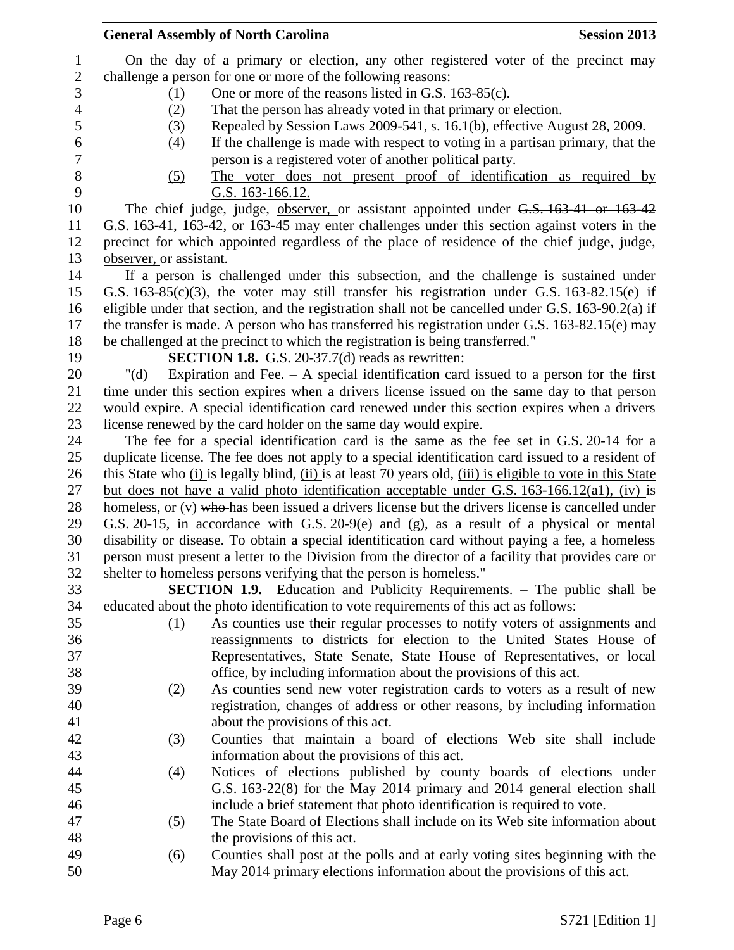|                | <b>General Assembly of North Carolina</b> | <b>Session 2013</b>                                                                                         |  |  |
|----------------|-------------------------------------------|-------------------------------------------------------------------------------------------------------------|--|--|
| $\mathbf{1}$   |                                           | On the day of a primary or election, any other registered voter of the precinct may                         |  |  |
| $\mathbf{2}$   |                                           | challenge a person for one or more of the following reasons:                                                |  |  |
| 3              | (1)                                       | One or more of the reasons listed in G.S. 163-85(c).                                                        |  |  |
| $\overline{4}$ | (2)                                       | That the person has already voted in that primary or election.                                              |  |  |
| 5              | (3)                                       | Repealed by Session Laws 2009-541, s. 16.1(b), effective August 28, 2009.                                   |  |  |
| 6              | (4)                                       | If the challenge is made with respect to voting in a partisan primary, that the                             |  |  |
| 7              |                                           | person is a registered voter of another political party.                                                    |  |  |
| $8\,$          | (5)                                       | The voter does not present proof of identification as required by                                           |  |  |
| 9              |                                           | G.S. 163-166.12.                                                                                            |  |  |
| 10             |                                           | The chief judge, judge, observer, or assistant appointed under G.S. 163-41 or 163-42                        |  |  |
| 11             |                                           | G.S. 163-41, 163-42, or 163-45 may enter challenges under this section against voters in the                |  |  |
| 12             |                                           | precinct for which appointed regardless of the place of residence of the chief judge, judge,                |  |  |
| 13             | observer, or assistant.                   |                                                                                                             |  |  |
| 14             |                                           | If a person is challenged under this subsection, and the challenge is sustained under                       |  |  |
| 15             |                                           | G.S. $163-85(c)(3)$ , the voter may still transfer his registration under G.S. $163-82.15(e)$ if            |  |  |
| 16             |                                           | eligible under that section, and the registration shall not be cancelled under G.S. 163-90.2(a) if          |  |  |
| 17             |                                           | the transfer is made. A person who has transferred his registration under G.S. 163-82.15(e) may             |  |  |
| 18             |                                           | be challenged at the precinct to which the registration is being transferred."                              |  |  |
| 19             |                                           | <b>SECTION 1.8.</b> G.S. 20-37.7(d) reads as rewritten:                                                     |  |  |
| 20             | " $(d)$                                   | Expiration and Fee. $-$ A special identification card issued to a person for the first                      |  |  |
| 21             |                                           | time under this section expires when a drivers license issued on the same day to that person                |  |  |
| 22             |                                           | would expire. A special identification card renewed under this section expires when a drivers               |  |  |
| 23             |                                           | license renewed by the card holder on the same day would expire.                                            |  |  |
| 24             |                                           | The fee for a special identification card is the same as the fee set in G.S. 20-14 for a                    |  |  |
| 25             |                                           | duplicate license. The fee does not apply to a special identification card issued to a resident of          |  |  |
| 26             |                                           | this State who (i) is legally blind, (ii) is at least 70 years old, (iii) is eligible to vote in this State |  |  |
| 27             |                                           | but does not have a valid photo identification acceptable under G.S. 163-166.12(a1), (iv) is                |  |  |
| 28             |                                           | homeless, or (v) who has been issued a drivers license but the drivers license is cancelled under           |  |  |
| 29             |                                           | G.S. 20-15, in accordance with G.S. 20-9(e) and (g), as a result of a physical or mental                    |  |  |
| 30             |                                           | disability or disease. To obtain a special identification card without paying a fee, a homeless             |  |  |
| 31             |                                           | person must present a letter to the Division from the director of a facility that provides care or          |  |  |
| 32             |                                           | shelter to homeless persons verifying that the person is homeless."                                         |  |  |
| 33             |                                           | <b>SECTION 1.9.</b> Education and Publicity Requirements. – The public shall be                             |  |  |
| 34             |                                           | educated about the photo identification to vote requirements of this act as follows:                        |  |  |
| 35             | (1)                                       | As counties use their regular processes to notify voters of assignments and                                 |  |  |
| 36             |                                           | reassignments to districts for election to the United States House of                                       |  |  |
| 37             |                                           | Representatives, State Senate, State House of Representatives, or local                                     |  |  |
| 38             |                                           | office, by including information about the provisions of this act.                                          |  |  |
| 39             | (2)                                       | As counties send new voter registration cards to voters as a result of new                                  |  |  |
| 40             |                                           | registration, changes of address or other reasons, by including information                                 |  |  |
| 41             |                                           | about the provisions of this act.                                                                           |  |  |
| 42             | (3)                                       | Counties that maintain a board of elections Web site shall include                                          |  |  |
| 43             |                                           | information about the provisions of this act.                                                               |  |  |
| 44             | (4)                                       | Notices of elections published by county boards of elections under                                          |  |  |
| 45             |                                           | G.S. 163-22(8) for the May 2014 primary and 2014 general election shall                                     |  |  |
| 46             |                                           | include a brief statement that photo identification is required to vote.                                    |  |  |
| 47             | (5)                                       | The State Board of Elections shall include on its Web site information about                                |  |  |
| 48             |                                           | the provisions of this act.                                                                                 |  |  |
| 49             | (6)                                       | Counties shall post at the polls and at early voting sites beginning with the                               |  |  |
| 50             |                                           | May 2014 primary elections information about the provisions of this act.                                    |  |  |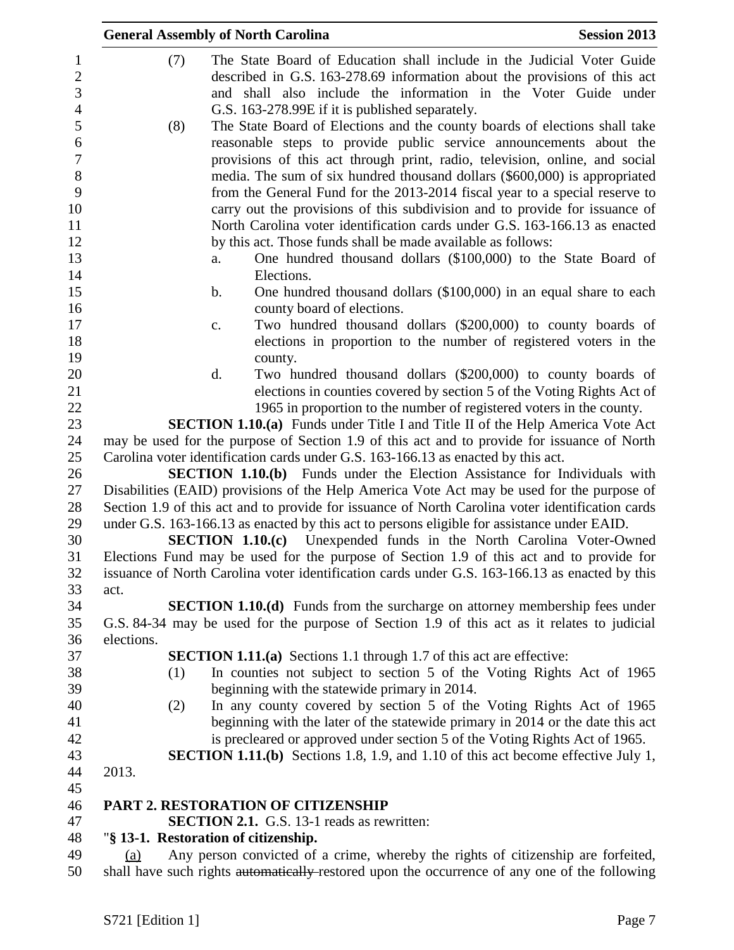|            | <b>General Assembly of North Carolina</b>                                                        | <b>Session 2013</b> |
|------------|--------------------------------------------------------------------------------------------------|---------------------|
|            | (7)<br>The State Board of Education shall include in the Judicial Voter Guide                    |                     |
|            | described in G.S. 163-278.69 information about the provisions of this act                        |                     |
|            | and shall also include the information in the Voter Guide under                                  |                     |
|            | G.S. 163-278.99E if it is published separately.                                                  |                     |
|            | The State Board of Elections and the county boards of elections shall take<br>(8)                |                     |
|            | reasonable steps to provide public service announcements about the                               |                     |
|            |                                                                                                  |                     |
|            | provisions of this act through print, radio, television, online, and social                      |                     |
|            | media. The sum of six hundred thousand dollars (\$600,000) is appropriated                       |                     |
|            | from the General Fund for the 2013-2014 fiscal year to a special reserve to                      |                     |
|            | carry out the provisions of this subdivision and to provide for issuance of                      |                     |
|            | North Carolina voter identification cards under G.S. 163-166.13 as enacted                       |                     |
|            | by this act. Those funds shall be made available as follows:                                     |                     |
|            | One hundred thousand dollars (\$100,000) to the State Board of<br>a.<br>Elections.               |                     |
|            | b.<br>One hundred thousand dollars (\$100,000) in an equal share to each                         |                     |
|            | county board of elections.                                                                       |                     |
|            | Two hundred thousand dollars (\$200,000) to county boards of<br>c.                               |                     |
|            | elections in proportion to the number of registered voters in the                                |                     |
|            | county.                                                                                          |                     |
|            | Two hundred thousand dollars (\$200,000) to county boards of<br>d.                               |                     |
|            | elections in counties covered by section 5 of the Voting Rights Act of                           |                     |
|            | 1965 in proportion to the number of registered voters in the county.                             |                     |
|            | <b>SECTION 1.10.(a)</b> Funds under Title I and Title II of the Help America Vote Act            |                     |
|            | may be used for the purpose of Section 1.9 of this act and to provide for issuance of North      |                     |
|            | Carolina voter identification cards under G.S. 163-166.13 as enacted by this act.                |                     |
|            | <b>SECTION 1.10.(b)</b> Funds under the Election Assistance for Individuals with                 |                     |
|            | Disabilities (EAID) provisions of the Help America Vote Act may be used for the purpose of       |                     |
|            | Section 1.9 of this act and to provide for issuance of North Carolina voter identification cards |                     |
|            | under G.S. 163-166.13 as enacted by this act to persons eligible for assistance under EAID.      |                     |
|            | <b>SECTION 1.10.(c)</b> Unexpended funds in the North Carolina Voter-Owned                       |                     |
|            | Elections Fund may be used for the purpose of Section 1.9 of this act and to provide for         |                     |
|            | issuance of North Carolina voter identification cards under G.S. 163-166.13 as enacted by this   |                     |
| act.       |                                                                                                  |                     |
|            | SECTION 1.10.(d) Funds from the surcharge on attorney membership fees under                      |                     |
|            | G.S. 84-34 may be used for the purpose of Section 1.9 of this act as it relates to judicial      |                     |
| elections. |                                                                                                  |                     |
|            | <b>SECTION 1.11.(a)</b> Sections 1.1 through 1.7 of this act are effective:                      |                     |
|            | In counties not subject to section 5 of the Voting Rights Act of 1965<br>(1)                     |                     |
|            | beginning with the statewide primary in 2014.                                                    |                     |
|            | In any county covered by section 5 of the Voting Rights Act of 1965<br>(2)                       |                     |
|            | beginning with the later of the statewide primary in 2014 or the date this act                   |                     |
|            | is precleared or approved under section 5 of the Voting Rights Act of 1965.                      |                     |
|            | <b>SECTION 1.11.(b)</b> Sections 1.8, 1.9, and 1.10 of this act become effective July 1,         |                     |
| 2013.      |                                                                                                  |                     |
|            |                                                                                                  |                     |
|            | <b>PART 2. RESTORATION OF CITIZENSHIP</b>                                                        |                     |
|            | <b>SECTION 2.1.</b> G.S. 13-1 reads as rewritten:                                                |                     |
|            | "§ 13-1. Restoration of citizenship.                                                             |                     |
| (a)        | Any person convicted of a crime, whereby the rights of citizenship are forfeited,                |                     |
|            | shall have such rights automatically-restored upon the occurrence of any one of the following    |                     |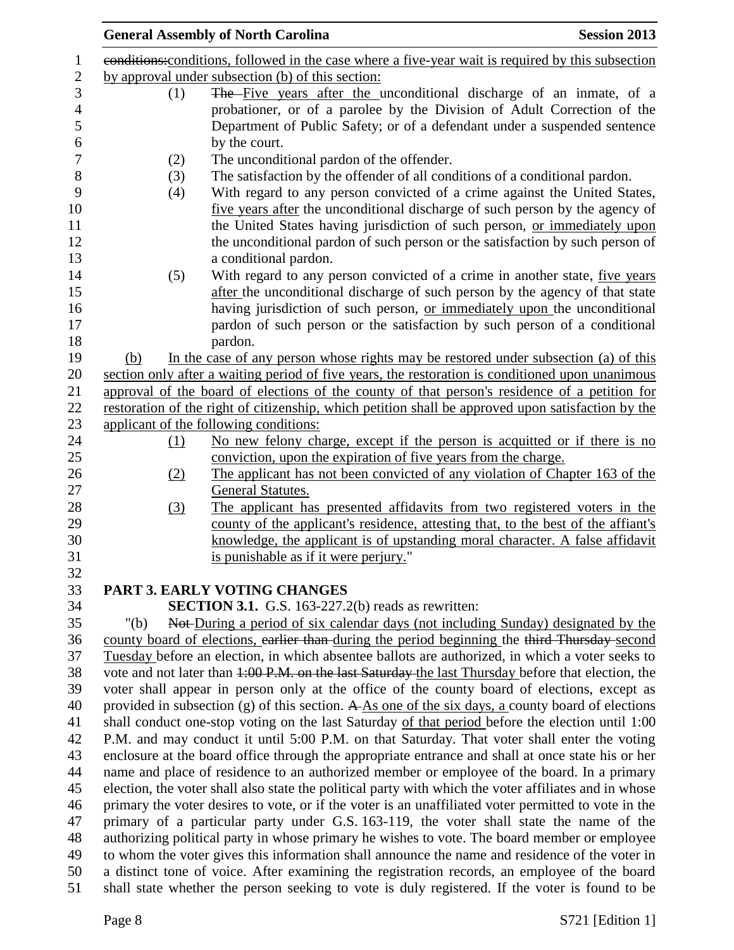|                   | <b>General Assembly of North Carolina</b>                                                                                                                                                                                                                                                                                                                          | <b>Session 2013</b> |
|-------------------|--------------------------------------------------------------------------------------------------------------------------------------------------------------------------------------------------------------------------------------------------------------------------------------------------------------------------------------------------------------------|---------------------|
|                   | eonditions: conditions, followed in the case where a five-year wait is required by this subsection                                                                                                                                                                                                                                                                 |                     |
|                   | by approval under subsection (b) of this section:                                                                                                                                                                                                                                                                                                                  |                     |
| (1)               | The Five years after the unconditional discharge of an inmate, of a<br>probationer, or of a parolee by the Division of Adult Correction of the<br>Department of Public Safety; or of a defendant under a suspended sentence                                                                                                                                        |                     |
|                   | by the court.                                                                                                                                                                                                                                                                                                                                                      |                     |
| (2)<br>(3)<br>(4) | The unconditional pardon of the offender.<br>The satisfaction by the offender of all conditions of a conditional pardon.<br>With regard to any person convicted of a crime against the United States,<br>five years after the unconditional discharge of such person by the agency of<br>the United States having jurisdiction of such person, or immediately upon |                     |
|                   | the unconditional pardon of such person or the satisfaction by such person of                                                                                                                                                                                                                                                                                      |                     |
|                   | a conditional pardon.                                                                                                                                                                                                                                                                                                                                              |                     |
| (5)               | With regard to any person convicted of a crime in another state, five years<br>after the unconditional discharge of such person by the agency of that state<br>having jurisdiction of such person, or immediately upon the unconditional<br>pardon of such person or the satisfaction by such person of a conditional<br>pardon.                                   |                     |
| (b)               | In the case of any person whose rights may be restored under subsection (a) of this                                                                                                                                                                                                                                                                                |                     |
|                   | section only after a waiting period of five years, the restoration is conditioned upon unanimous                                                                                                                                                                                                                                                                   |                     |
|                   | approval of the board of elections of the county of that person's residence of a petition for                                                                                                                                                                                                                                                                      |                     |
|                   | restoration of the right of citizenship, which petition shall be approved upon satisfaction by the                                                                                                                                                                                                                                                                 |                     |
|                   | applicant of the following conditions:                                                                                                                                                                                                                                                                                                                             |                     |
| (1)               | No new felony charge, except if the person is acquitted or if there is no                                                                                                                                                                                                                                                                                          |                     |
|                   | conviction, upon the expiration of five years from the charge.                                                                                                                                                                                                                                                                                                     |                     |
| (2)               | The applicant has not been convicted of any violation of Chapter 163 of the<br><b>General Statutes.</b>                                                                                                                                                                                                                                                            |                     |
| (3)               | The applicant has presented affidavits from two registered voters in the                                                                                                                                                                                                                                                                                           |                     |
|                   | county of the applicant's residence, attesting that, to the best of the affiant's<br>knowledge, the applicant is of upstanding moral character. A false affidavit<br>is punishable as if it were perjury."                                                                                                                                                         |                     |
|                   | <b>PART 3. EARLY VOTING CHANGES</b>                                                                                                                                                                                                                                                                                                                                |                     |
|                   | <b>SECTION 3.1.</b> G.S. 163-227.2(b) reads as rewritten:                                                                                                                                                                                                                                                                                                          |                     |
| " $(b)$           | Not-During a period of six calendar days (not including Sunday) designated by the                                                                                                                                                                                                                                                                                  |                     |
|                   | county board of elections, earlier than during the period beginning the third Thursday second                                                                                                                                                                                                                                                                      |                     |
|                   | Tuesday before an election, in which absentee ballots are authorized, in which a voter seeks to                                                                                                                                                                                                                                                                    |                     |
|                   | vote and not later than 1:00 P.M. on the last Saturday the last Thursday before that election, the                                                                                                                                                                                                                                                                 |                     |
|                   | voter shall appear in person only at the office of the county board of elections, except as                                                                                                                                                                                                                                                                        |                     |
|                   | provided in subsection (g) of this section. A $\overline{As}$ one of the six days, a county board of elections                                                                                                                                                                                                                                                     |                     |
|                   | shall conduct one-stop voting on the last Saturday of that period before the election until 1:00                                                                                                                                                                                                                                                                   |                     |
|                   | P.M. and may conduct it until 5:00 P.M. on that Saturday. That voter shall enter the voting                                                                                                                                                                                                                                                                        |                     |
|                   | enclosure at the board office through the appropriate entrance and shall at once state his or her                                                                                                                                                                                                                                                                  |                     |
|                   | name and place of residence to an authorized member or employee of the board. In a primary                                                                                                                                                                                                                                                                         |                     |
|                   | election, the voter shall also state the political party with which the voter affiliates and in whose                                                                                                                                                                                                                                                              |                     |
|                   | primary the voter desires to vote, or if the voter is an unaffiliated voter permitted to vote in the                                                                                                                                                                                                                                                               |                     |
|                   | primary of a particular party under G.S. 163-119, the voter shall state the name of the                                                                                                                                                                                                                                                                            |                     |
|                   | authorizing political party in whose primary he wishes to vote. The board member or employee                                                                                                                                                                                                                                                                       |                     |
|                   | to whom the voter gives this information shall announce the name and residence of the voter in                                                                                                                                                                                                                                                                     |                     |
|                   | a distinct tone of voice. After examining the registration records, an employee of the board                                                                                                                                                                                                                                                                       |                     |
|                   | shall state whether the person seeking to vote is duly registered. If the voter is found to be                                                                                                                                                                                                                                                                     |                     |